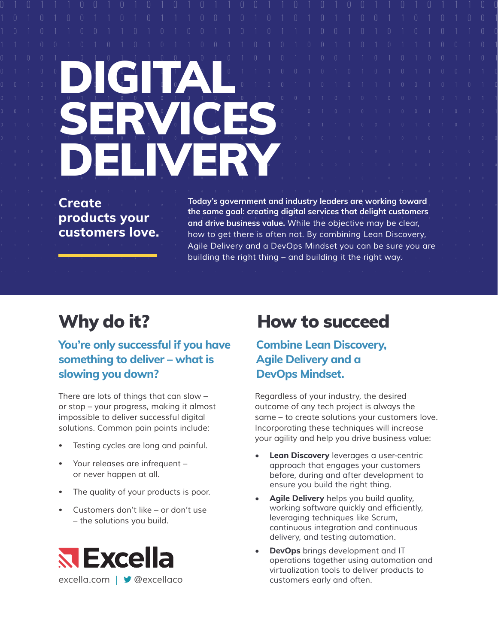# $\begin{array}{|c|c|c|c|c|}\hline \rule{0mm}{3mm} \rule{0mm}{3mm} \end{array}$ SERVICES DELIVERY

**Create products your customers love.** **Today's government and industry leaders are working toward the same goal: creating digital services that delight customers and drive business value.** *While the objective may be clear, how to get there is often not. By combining Lean Discovery,*  Agile Delivery and a DevOps Mindset you can be sure you are *building the right thing – and building it the right way.*

# **You're only successful if you have something to deliver – what is slowing you down?**

*There are lots of things that can slow – or stop – your progress, making it almost impossible to deliver successful digital solutions. Common pain points include:*

- *• Testing cycles are long and painful.*
- *• Your releases are infrequent or never happen at all.*
- *• The quality of your products is poor.*
- *• Customers don't like or don't use – the solutions you build.*



# Why do it? How to succeed

# **Combine Lean Discovery, Agile Delivery and a DevOps Mindset.**

*Regardless of your industry, the desired outcome of any tech project is always the same – to create solutions your customers love. Incorporating these techniques will increase your agility and help you drive business value:*

- **• Lean Discovery** leverages a user-centric *approach that engages your customers before, during and after development to ensure you build the right thing.*
- **• Agile Delivery** *helps you build quality,*  working software quickly and efficiently, *leveraging techniques like Scrum, continuous integration and continuous delivery, and testing automation.*
- **• DevOps** *brings development and IT operations together using automation and virtualization tools to deliver products to customers early and often.*